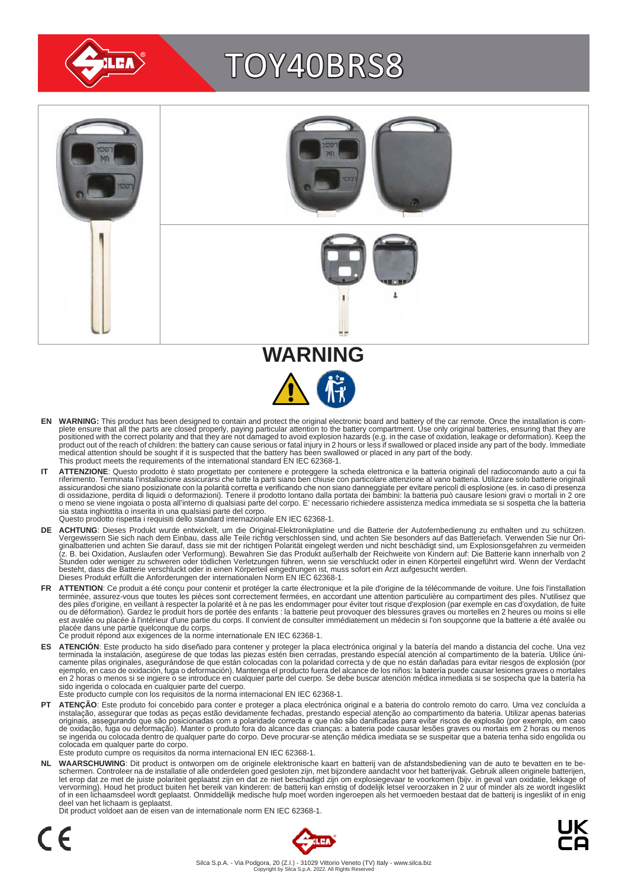

# TOY40BRS8



- EN WARNING: This product has been designed to contain and protect the original electronic board and battery of the car remote. Once the installation is com-<br>plete ensure that all the parts are closed properly, paying parti positioned with the correct polarity and that they are not damaged to avoid explosion hazards (e.g. in the case of oxidation, leakage or deformation). Keep the<br>product out of the reach of children: the battery can cause se medical attention should be sought if it is suspected that the battery has been swallowed or placed in any part of the body. This product meets the requirements of the international standard EN IEC 62368-1.
- IT ATTENZIONE: Questo prodotto è stato progettato per contenere e proteggere la scheda elettronica e la batteria originali del radiocomando auto a cui fa<br>riferimento. Terminata l'installazione assicurarsi che tutte la part assicurandosi che siano posizionate con la polarità corretta e verificando che non siano danneggiate per evitare pericoli di esplosione (es. in caso di presenza<br>di ossidazione, perdita di liquidi o deformazioni). Tenere il sia stata inghiottita o inserita in una qualsiasi parte del corpo. Questo prodotto rispetta i requisiti dello standard internazionale EN IEC 62368-1.
- **DE ACHTUNG**: Dieses Produkt wurde entwickelt, um die Original-Elektronikplatine und die Batterie der Autofernbedienung zu enthalten und zu schützen.<br>Vergewissern Sie sich nach dem Einbau, dass alle Teile richtig verschlos besteht, dass die Batterie verschluckt oder in einen Körperteil eingedrungen ist, muss sofort ein Arzt aufgesucht werden.<br>Dieses Produkt erfüllt die Anforderungen der internationalen Norm EN IEC 62368-1.
- FR ATTENTION: Ce produit a été conçu pour contenir et protéger la carte électronique et la pile d'origine de la télécommande de voiture. Une fois l'installation terminée, assurez-vous que toutes les pièces sont correctement fermées, en accordant une attention particulière au compartiment des piles. N'utilisez que<br>des piles d'origine, en veillant à respecter la polarité et à ne pas est avalée ou placée à l'intérieur d'une partie du corps. Il convient de consulter immédiatement un médecin si l'on soupçonne que la batterie a été avalée ou<br>placée dans une partie quelconque du corps.<br>Ce produit répond au
	-
- ES ATENCION: Este producto ha sido diseñado para contener y proteger la placa electrónica original y la batería del mando a distancia del coche. Una vez<br>-terminada la instalación, asegúrese de que todas las piezas estén bi camente pilas originales, asegurándose de que están colocadas con la polaridad correcta y de que no están dañadas para evitar riesgos de explosión (por<br>ejemplo, en caso de oxidación, fuga o deformación). Mantenga el produc sido ingerida o colocada en cualquier parte del cuerpo.
- Este producto cumple con los requisitos de la norma internacional EN IEC 62368-1.
- **PT ATENÇAO**: Este produto foi concebido para conter e proteger a placa electrónica original e a bateria do controlo remoto do carro. Uma vez concluída a instalação, assegurar que todas as peças estão devidamente fechadas, colocada em qualquer parte do corpo. Este produto cumpre os requisitos da norma internacional EN IEC 62368-1.

NL WAARSCHUWING: Dit product is ontworpen om de originele elektronische kaart en batterij van de afstandsbediening van de auto te bevatten en te be-<br>schermen. Controleer na de installatie of alle onderdelen goed gesloten z of in een lichaamsdeel wordt geplaatst. Onmiddellijk medische hulp moet worden ingeroepen als het vermoeden bestaat dat de batterij is ingeslikt of in enig deel van het lichaam is geplaatst.

Dit product voldoet aan de eisen van de internationale norm EN IEC 62368-1.